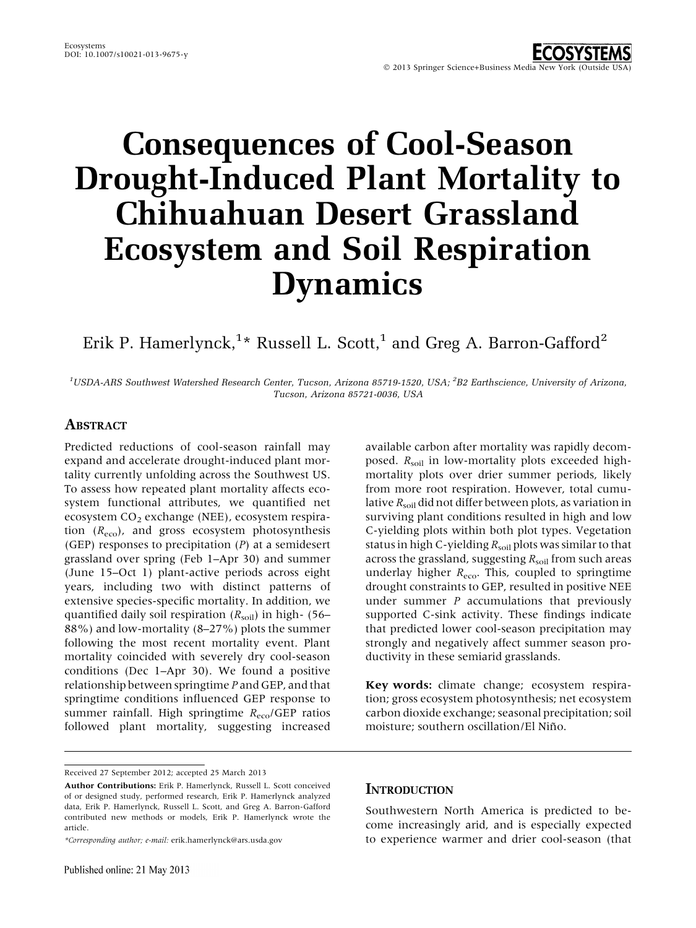# Consequences of Cool-Season Drought-Induced Plant Mortality to Chihuahuan Desert Grassland Ecosystem and Soil Respiration Dynamics

## Erik P. Hamerlynck, $^{1\star}$  Russell L. Scott, $^{1}$  and Greg A. Barron-Gafford $^{2}$

 $^1$ USDA-ARS Southwest Watershed Research Center, Tucson, Arizona 85719-1520, USA;  $^2$ B2 Earthscience, University of Arizona, Tucson, Arizona 85721-0036, USA

## ABSTRACT

Predicted reductions of cool-season rainfall may expand and accelerate drought-induced plant mortality currently unfolding across the Southwest US. To assess how repeated plant mortality affects ecosystem functional attributes, we quantified net ecosystem  $CO<sub>2</sub>$  exchange (NEE), ecosystem respiration  $(R_{\text{eco}})$ , and gross ecosystem photosynthesis (GEP) responses to precipitation  $(P)$  at a semidesert grassland over spring (Feb 1–Apr 30) and summer (June 15–Oct 1) plant-active periods across eight years, including two with distinct patterns of extensive species-specific mortality. In addition, we quantified daily soil respiration  $(R_{\text{solid}})$  in high- (56– 88%) and low-mortality (8–27%) plots the summer following the most recent mortality event. Plant mortality coincided with severely dry cool-season conditions (Dec 1–Apr 30). We found a positive relationship between springtime P and GEP, and that springtime conditions influenced GEP response to summer rainfall. High springtime  $R_{\text{eco}}/GEP$  ratios followed plant mortality, suggesting increased

available carbon after mortality was rapidly decomposed.  $R_{\text{solid}}$  in low-mortality plots exceeded highmortality plots over drier summer periods, likely from more root respiration. However, total cumulative  $R_{\text{solid}}$  did not differ between plots, as variation in surviving plant conditions resulted in high and low C-yielding plots within both plot types. Vegetation status in high C-yielding  $R_{\text{solid}}$  plots was similar to that across the grassland, suggesting  $R_{\text{solid}}$  from such areas underlay higher  $R_{\text{eco}}$ . This, coupled to springtime drought constraints to GEP, resulted in positive NEE under summer  $P$  accumulations that previously supported C-sink activity. These findings indicate that predicted lower cool-season precipitation may strongly and negatively affect summer season productivity in these semiarid grasslands.

Key words: climate change; ecosystem respiration; gross ecosystem photosynthesis; net ecosystem carbon dioxide exchange; seasonal precipitation; soil moisture; southern oscillation/El Niño.

## **INTRODUCTION**

Southwestern North America is predicted to become increasingly arid, and is especially expected to experience warmer and drier cool-season (that

Received 27 September 2012; accepted 25 March 2013

Author Contributions: Erik P. Hamerlynck, Russell L. Scott conceived of or designed study, performed research, Erik P. Hamerlynck analyzed data, Erik P. Hamerlynck, Russell L. Scott, and Greg A. Barron-Gafford contributed new methods or models, Erik P. Hamerlynck wrote the article.

<sup>\*</sup>Corresponding author; e-mail: erik.hamerlynck@ars.usda.gov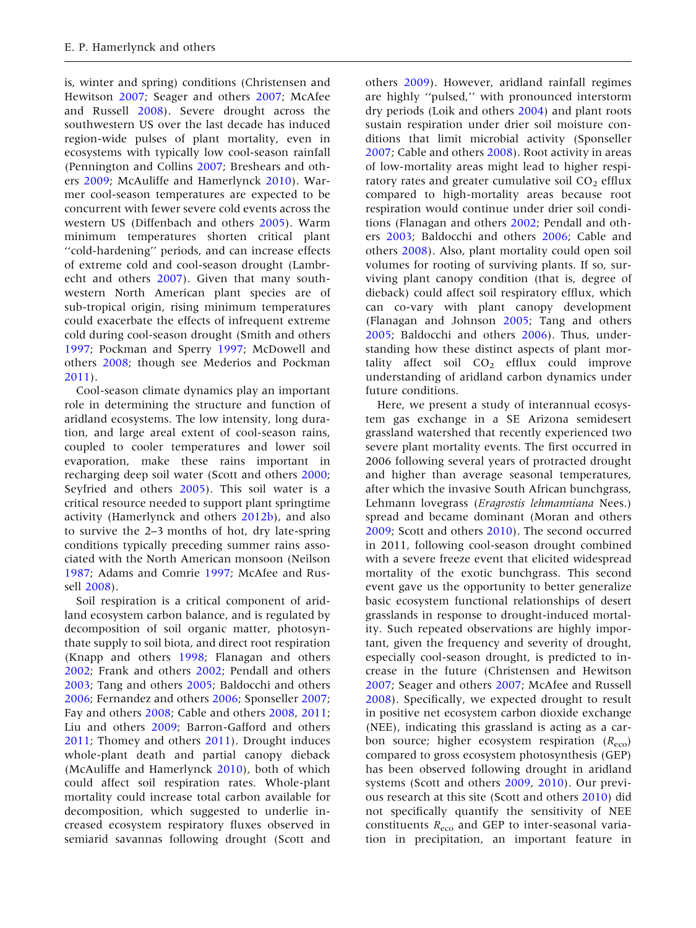is, winter and spring) conditions (Christensen and Hewitson [2007](#page-12-0); Seager and others [2007](#page-13-0); McAfee and Russell [2008\)](#page-13-0). Severe drought across the southwestern US over the last decade has induced region-wide pulses of plant mortality, even in ecosystems with typically low cool-season rainfall (Pennington and Collins [2007](#page-13-0); Breshears and others [2009;](#page-12-0) McAuliffe and Hamerlynck [2010\)](#page-13-0). Warmer cool-season temperatures are expected to be concurrent with fewer severe cold events across the western US (Diffenbach and others [2005](#page-12-0)). Warm minimum temperatures shorten critical plant ''cold-hardening'' periods, and can increase effects of extreme cold and cool-season drought (Lambrecht and others [2007\)](#page-12-0). Given that many southwestern North American plant species are of sub-tropical origin, rising minimum temperatures could exacerbate the effects of infrequent extreme cold during cool-season drought (Smith and others [1997;](#page-13-0) Pockman and Sperry [1997;](#page-13-0) McDowell and others [2008;](#page-13-0) though see Mederios and Pockman [2011\)](#page-13-0).

Cool-season climate dynamics play an important role in determining the structure and function of aridland ecosystems. The low intensity, long duration, and large areal extent of cool-season rains, coupled to cooler temperatures and lower soil evaporation, make these rains important in recharging deep soil water (Scott and others [2000](#page-13-0); Seyfried and others [2005](#page-13-0)). This soil water is a critical resource needed to support plant springtime activity (Hamerlynck and others [2012b](#page-12-0)), and also to survive the 2–3 months of hot, dry late-spring conditions typically preceding summer rains associated with the North American monsoon (Neilson [1987;](#page-13-0) Adams and Comrie [1997;](#page-12-0) McAfee and Russell [2008\)](#page-13-0).

Soil respiration is a critical component of aridland ecosystem carbon balance, and is regulated by decomposition of soil organic matter, photosynthate supply to soil biota, and direct root respiration (Knapp and others [1998](#page-12-0); Flanagan and others [2002;](#page-12-0) Frank and others [2002](#page-12-0); Pendall and others [2003;](#page-13-0) Tang and others [2005](#page-13-0); Baldocchi and others [2006;](#page-12-0) Fernandez and others [2006](#page-12-0); Sponseller [2007](#page-13-0); Fay and others [2008;](#page-12-0) Cable and others [2008](#page-12-0), [2011](#page-12-0); Liu and others [2009](#page-12-0); Barron-Gafford and others [2011;](#page-12-0) Thomey and others [2011](#page-13-0)). Drought induces whole-plant death and partial canopy dieback (McAuliffe and Hamerlynck [2010](#page-13-0)), both of which could affect soil respiration rates. Whole-plant mortality could increase total carbon available for decomposition, which suggested to underlie increased ecosystem respiratory fluxes observed in semiarid savannas following drought (Scott and

others [2009\)](#page-13-0). However, aridland rainfall regimes are highly ''pulsed,'' with pronounced interstorm dry periods (Loik and others [2004](#page-12-0)) and plant roots sustain respiration under drier soil moisture conditions that limit microbial activity (Sponseller [2007;](#page-13-0) Cable and others [2008\)](#page-12-0). Root activity in areas of low-mortality areas might lead to higher respiratory rates and greater cumulative soil  $CO<sub>2</sub>$  efflux compared to high-mortality areas because root respiration would continue under drier soil conditions (Flanagan and others [2002;](#page-12-0) Pendall and others [2003;](#page-13-0) Baldocchi and others [2006;](#page-12-0) Cable and others [2008\)](#page-12-0). Also, plant mortality could open soil volumes for rooting of surviving plants. If so, surviving plant canopy condition (that is, degree of dieback) could affect soil respiratory efflux, which can co-vary with plant canopy development (Flanagan and Johnson [2005;](#page-12-0) Tang and others [2005;](#page-13-0) Baldocchi and others [2006](#page-12-0)). Thus, understanding how these distinct aspects of plant mortality affect soil  $CO<sub>2</sub>$  efflux could improve understanding of aridland carbon dynamics under future conditions.

Here, we present a study of interannual ecosystem gas exchange in a SE Arizona semidesert grassland watershed that recently experienced two severe plant mortality events. The first occurred in 2006 following several years of protracted drought and higher than average seasonal temperatures, after which the invasive South African bunchgrass, Lehmann lovegrass (Eragrostis lehmanniana Nees.) spread and became dominant (Moran and others [2009;](#page-13-0) Scott and others [2010](#page-13-0)). The second occurred in 2011, following cool-season drought combined with a severe freeze event that elicited widespread mortality of the exotic bunchgrass. This second event gave us the opportunity to better generalize basic ecosystem functional relationships of desert grasslands in response to drought-induced mortality. Such repeated observations are highly important, given the frequency and severity of drought, especially cool-season drought, is predicted to increase in the future (Christensen and Hewitson [2007;](#page-12-0) Seager and others [2007;](#page-13-0) McAfee and Russell [2008\)](#page-13-0). Specifically, we expected drought to result in positive net ecosystem carbon dioxide exchange (NEE), indicating this grassland is acting as a carbon source; higher ecosystem respiration  $(R_{\text{eco}})$ compared to gross ecosystem photosynthesis (GEP) has been observed following drought in aridland systems (Scott and others [2009,](#page-13-0) [2010](#page-13-0)). Our previous research at this site (Scott and others [2010\)](#page-13-0) did not specifically quantify the sensitivity of NEE constituents  $R_{\text{eco}}$  and GEP to inter-seasonal variation in precipitation, an important feature in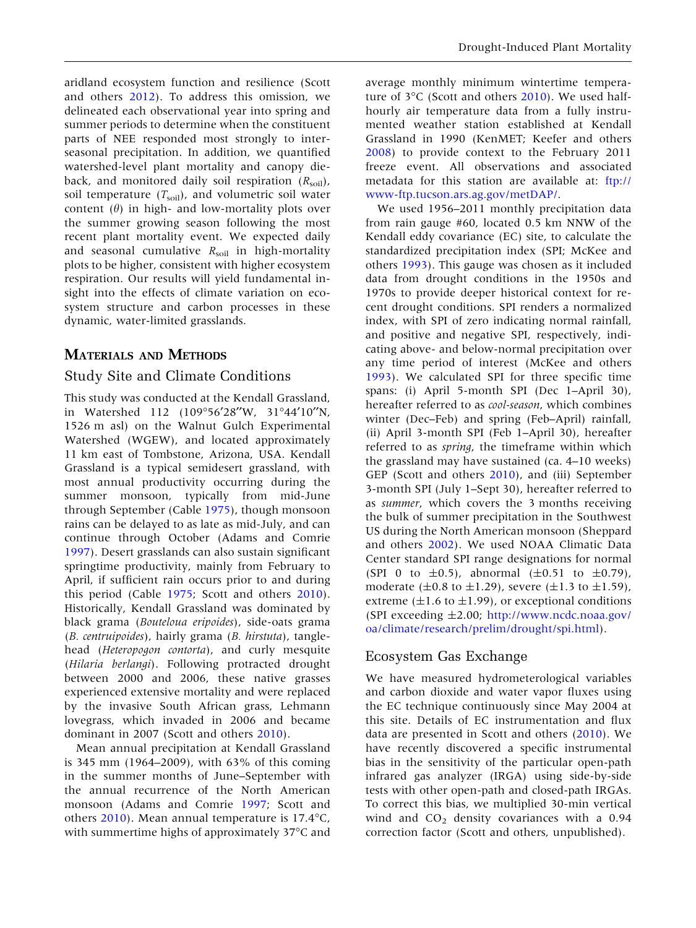aridland ecosystem function and resilience (Scott and others [2012](#page-13-0)). To address this omission, we delineated each observational year into spring and summer periods to determine when the constituent parts of NEE responded most strongly to interseasonal precipitation. In addition, we quantified watershed-level plant mortality and canopy dieback, and monitored daily soil respiration  $(R_{\text{soil}})$ , soil temperature  $(T_{\text{solid}})$ , and volumetric soil water content  $(\theta)$  in high- and low-mortality plots over the summer growing season following the most recent plant mortality event. We expected daily and seasonal cumulative  $R_{\text{soil}}$  in high-mortality plots to be higher, consistent with higher ecosystem respiration. Our results will yield fundamental insight into the effects of climate variation on ecosystem structure and carbon processes in these dynamic, water-limited grasslands.

## MATERIALS AND METHODS

## Study Site and Climate Conditions

This study was conducted at the Kendall Grassland, in Watershed 112 (109°56'28"W, 31°44'10"N, 1526 m asl) on the Walnut Gulch Experimental Watershed (WGEW), and located approximately 11 km east of Tombstone, Arizona, USA. Kendall Grassland is a typical semidesert grassland, with most annual productivity occurring during the summer monsoon, typically from mid-June through September (Cable [1975\)](#page-12-0), though monsoon rains can be delayed to as late as mid-July, and can continue through October (Adams and Comrie [1997\)](#page-12-0). Desert grasslands can also sustain significant springtime productivity, mainly from February to April, if sufficient rain occurs prior to and during this period (Cable [1975;](#page-12-0) Scott and others [2010](#page-13-0)). Historically, Kendall Grassland was dominated by black grama (Bouteloua eripoides), side-oats grama (B. centruipoides), hairly grama (B. hirstuta), tanglehead (Heteropogon contorta), and curly mesquite (Hilaria berlangi). Following protracted drought between 2000 and 2006, these native grasses experienced extensive mortality and were replaced by the invasive South African grass, Lehmann lovegrass, which invaded in 2006 and became dominant in 2007 (Scott and others [2010](#page-13-0)).

Mean annual precipitation at Kendall Grassland is 345 mm (1964–2009), with 63% of this coming in the summer months of June–September with the annual recurrence of the North American monsoon (Adams and Comrie [1997;](#page-12-0) Scott and others  $2010$ ). Mean annual temperature is 17.4°C, with summertime highs of approximately 37°C and

average monthly minimum wintertime temperature of  $3^{\circ}$ C (Scott and others [2010](#page-13-0)). We used halfhourly air temperature data from a fully instrumented weather station established at Kendall Grassland in 1990 (KenMET; Keefer and others [2008\)](#page-12-0) to provide context to the February 2011 freeze event. All observations and associated metadata for this station are available at: [ftp://](ftp://www-ftp.tucson.ars.ag.gov/metDAP/) [www-ftp.tucson.ars.ag.gov/metDAP/.](ftp://www-ftp.tucson.ars.ag.gov/metDAP/)

We used 1956–2011 monthly precipitation data from rain gauge #60, located 0.5 km NNW of the Kendall eddy covariance (EC) site, to calculate the standardized precipitation index (SPI; McKee and others [1993\)](#page-13-0). This gauge was chosen as it included data from drought conditions in the 1950s and 1970s to provide deeper historical context for recent drought conditions. SPI renders a normalized index, with SPI of zero indicating normal rainfall, and positive and negative SPI, respectively, indicating above- and below-normal precipitation over any time period of interest (McKee and others [1993\)](#page-13-0). We calculated SPI for three specific time spans: (i) April 5-month SPI (Dec 1–April 30), hereafter referred to as cool-season, which combines winter (Dec–Feb) and spring (Feb–April) rainfall, (ii) April 3-month SPI (Feb 1–April 30), hereafter referred to as spring, the timeframe within which the grassland may have sustained (ca. 4–10 weeks) GEP (Scott and others [2010\)](#page-13-0), and (iii) September 3-month SPI (July 1–Sept 30), hereafter referred to as summer, which covers the 3 months receiving the bulk of summer precipitation in the Southwest US during the North American monsoon (Sheppard and others [2002\)](#page-13-0). We used NOAA Climatic Data Center standard SPI range designations for normal (SPI 0 to  $\pm$ 0.5), abnormal ( $\pm$ 0.51 to  $\pm$ 0.79), moderate ( $\pm 0.8$  to  $\pm 1.29$ ), severe ( $\pm 1.3$  to  $\pm 1.59$ ), extreme  $(\pm 1.6 \text{ to } \pm 1.99)$ , or exceptional conditions (SPI exceeding  $\pm 2.00$ ; [http://www.ncdc.noaa.gov/](http://www.ncdc.noaa.gov/oa/climate/research/prelim/drought/spi.html) [oa/climate/research/prelim/drought/spi.html](http://www.ncdc.noaa.gov/oa/climate/research/prelim/drought/spi.html)).

## Ecosystem Gas Exchange

We have measured hydrometerological variables and carbon dioxide and water vapor fluxes using the EC technique continuously since May 2004 at this site. Details of EC instrumentation and flux data are presented in Scott and others ([2010\)](#page-13-0). We have recently discovered a specific instrumental bias in the sensitivity of the particular open-path infrared gas analyzer (IRGA) using side-by-side tests with other open-path and closed-path IRGAs. To correct this bias, we multiplied 30-min vertical wind and  $CO<sub>2</sub>$  density covariances with a 0.94 correction factor (Scott and others, unpublished).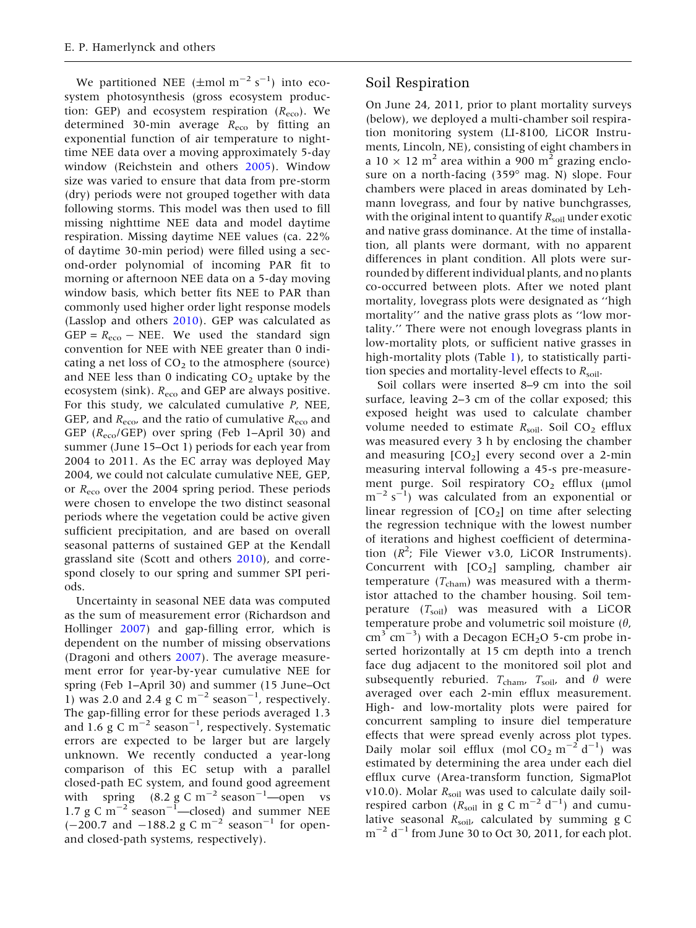We partitioned NEE ( $\pm$ mol m<sup>-2</sup> s<sup>-1</sup>) into ecosystem photosynthesis (gross ecosystem production: GEP) and ecosystem respiration  $(R_{\text{eco}})$ . We determined 30-min average  $R_{\text{eco}}$  by fitting an exponential function of air temperature to nighttime NEE data over a moving approximately 5-day window (Reichstein and others [2005](#page-13-0)). Window size was varied to ensure that data from pre-storm (dry) periods were not grouped together with data following storms. This model was then used to fill missing nighttime NEE data and model daytime respiration. Missing daytime NEE values (ca. 22% of daytime 30-min period) were filled using a second-order polynomial of incoming PAR fit to morning or afternoon NEE data on a 5-day moving window basis, which better fits NEE to PAR than commonly used higher order light response models (Lasslop and others [2010\)](#page-12-0). GEP was calculated as GEP =  $R_{\text{eco}}$  – NEE. We used the standard sign convention for NEE with NEE greater than 0 indicating a net loss of  $CO<sub>2</sub>$  to the atmosphere (source) and NEE less than 0 indicating  $CO<sub>2</sub>$  uptake by the ecosystem (sink).  $R_{\text{eco}}$  and GEP are always positive. For this study, we calculated cumulative P, NEE, GEP, and  $R_{\text{eco}}$ , and the ratio of cumulative  $R_{\text{eco}}$  and GEP  $(R_{\text{eco}}/GEP)$  over spring (Feb 1–April 30) and summer (June 15–Oct 1) periods for each year from 2004 to 2011. As the EC array was deployed May 2004, we could not calculate cumulative NEE, GEP, or  $R_{\text{eco}}$  over the 2004 spring period. These periods were chosen to envelope the two distinct seasonal periods where the vegetation could be active given sufficient precipitation, and are based on overall seasonal patterns of sustained GEP at the Kendall grassland site (Scott and others [2010\)](#page-13-0), and correspond closely to our spring and summer SPI periods.

Uncertainty in seasonal NEE data was computed as the sum of measurement error (Richardson and Hollinger [2007\)](#page-13-0) and gap-filling error, which is dependent on the number of missing observations (Dragoni and others [2007\)](#page-12-0). The average measurement error for year-by-year cumulative NEE for spring (Feb 1–April 30) and summer (15 June–Oct 1) was 2.0 and 2.4 g C  $\rm m^{-2}$  season<sup>-1</sup>, respectively. The gap-filling error for these periods averaged 1.3 and 1.6  $g \text{ C m}^{-2}$  season<sup>-1</sup>, respectively. Systematic errors are expected to be larger but are largely unknown. We recently conducted a year-long comparison of this EC setup with a parallel closed-path EC system, and found good agreement with spring  $(8.2 \text{ g C m}^{-2} \text{ season}^{-1}$ —open vs 1.7 g C  $\text{m}^{-2}$  season<sup>-1</sup>—closed) and summer NEE  $(-200.7 \text{ and } -188.2 \text{ g C m}^{-2} \text{ season}^{-1} \text{ for open}$ and closed-path systems, respectively).

## Soil Respiration

On June 24, 2011, prior to plant mortality surveys (below), we deployed a multi-chamber soil respiration monitoring system (LI-8100, LiCOR Instruments, Lincoln, NE), consisting of eight chambers in a 10  $\times$  12 m<sup>2</sup> area within a 900 m<sup>2</sup> grazing enclosure on a north-facing  $(359° \text{ mag. N})$  slope. Four chambers were placed in areas dominated by Lehmann lovegrass, and four by native bunchgrasses, with the original intent to quantify  $R_{\text{solid}}$  under exotic and native grass dominance. At the time of installation, all plants were dormant, with no apparent differences in plant condition. All plots were surrounded by different individual plants, and no plants co-occurred between plots. After we noted plant mortality, lovegrass plots were designated as ''high mortality'' and the native grass plots as ''low mortality.'' There were not enough lovegrass plants in low-mortality plots, or sufficient native grasses in high-mortality plots (Table [1\)](#page-4-0), to statistically partition species and mortality-level effects to  $R_{\text{soil}}$ .

Soil collars were inserted 8–9 cm into the soil surface, leaving 2–3 cm of the collar exposed; this exposed height was used to calculate chamber volume needed to estimate  $R_{\text{soil}}$ . Soil CO<sub>2</sub> efflux was measured every 3 h by enclosing the chamber and measuring  $[CO<sub>2</sub>]$  every second over a 2-min measuring interval following a 45-s pre-measurement purge. Soil respiratory  $CO<sub>2</sub>$  efflux (µmol  $m^{-2}$  s<sup>-1</sup>) was calculated from an exponential or linear regression of  $[CO<sub>2</sub>]$  on time after selecting the regression technique with the lowest number of iterations and highest coefficient of determination  $(R^2)$ ; File Viewer v3.0, LiCOR Instruments). Concurrent with  $[CO<sub>2</sub>]$  sampling, chamber air temperature  $(T_{\text{cham}})$  was measured with a thermistor attached to the chamber housing. Soil temperature  $(T_{\text{soil}})$  was measured with a LiCOR temperature probe and volumetric soil moisture  $(\theta)$ ,  $\text{cm}^3$  cm<sup>-3</sup>) with a Decagon ECH<sub>2</sub>O 5-cm probe inserted horizontally at 15 cm depth into a trench face dug adjacent to the monitored soil plot and subsequently reburied.  $T_{\text{cham}}$ ,  $T_{\text{soil}}$ , and  $\theta$  were averaged over each 2-min efflux measurement. High- and low-mortality plots were paired for concurrent sampling to insure diel temperature effects that were spread evenly across plot types. Daily molar soil efflux (mol  $CO_2 \text{ m}^{-2} \text{ d}^{-1}$ ) was estimated by determining the area under each diel efflux curve (Area-transform function, SigmaPlot v10.0). Molar  $R_{\text{solid}}$  was used to calculate daily soilrespired carbon ( $R_{\text{soil}}$  in g C m<sup>-2</sup> d<sup>-1</sup>) and cumulative seasonal  $R_{\text{soil}}$ , calculated by summing g C  $\text{m}^{-2}$  d<sup>-1</sup> from June 30 to Oct 30, 2011, for each plot.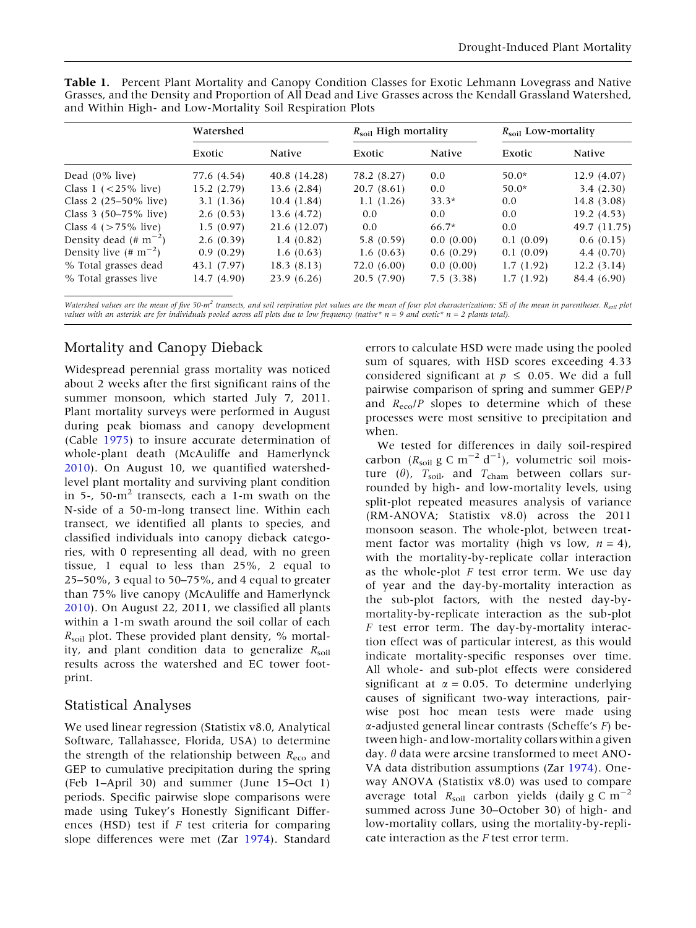|                                    | Watershed   |              | $R_{\rm soil}$ High mortality |           | $R_{\rm soil}$ Low-mortality |               |
|------------------------------------|-------------|--------------|-------------------------------|-----------|------------------------------|---------------|
|                                    | Exotic      | Native       | Exotic                        | Native    | Exotic                       | <b>Native</b> |
| Dead $(0\%$ live)                  | 77.6 (4.54) | 40.8 (14.28) | 78.2 (8.27)                   | 0.0       | $50.0*$                      | 12.9(4.07)    |
| Class $1$ ( $\lt$ 25% live)        | 15.2(2.79)  | 13.6(2.84)   | 20.7(8.61)                    | 0.0       | $50.0*$                      | 3.4(2.30)     |
| Class 2 $(25-50\% \text{ live})$   | 3.1(1.36)   | 10.4(1.84)   | 1.1(1.26)                     | $33.3*$   | 0.0                          | 14.8 (3.08)   |
| Class 3 (50–75% live)              | 2.6(0.53)   | 13.6 (4.72)  | 0.0                           | 0.0       | 0.0                          | 19.2(4.53)    |
| Class 4 ( $>75\%$ live)            | 1.5(0.97)   | 21.6 (12.07) | 0.0                           | $66.7*$   | 0.0                          | 49.7 (11.75)  |
| Density dead $(\# \text{ m}^{-2})$ | 2.6(0.39)   | 1.4(0.82)    | 5.8(0.59)                     | 0.0(0.00) | 0.1(0.09)                    | 0.6(0.15)     |
| Density live $(\# \text{ m}^{-2})$ | 0.9(0.29)   | 1.6(0.63)    | 1.6(0.63)                     | 0.6(0.29) | 0.1(0.09)                    | 4.4(0.70)     |
| % Total grasses dead               | 43.1 (7.97) | 18.3(8.13)   | 72.0(6.00)                    | 0.0(0.00) | 1.7(1.92)                    | 12.2(3.14)    |
| % Total grasses live               | 14.7 (4.90) | 23.9(6.26)   | 20.5(7.90)                    | 7.5(3.38) | 1.7(1.92)                    | 84.4 (6.90)   |

<span id="page-4-0"></span>Table 1. Percent Plant Mortality and Canopy Condition Classes for Exotic Lehmann Lovegrass and Native Grasses, and the Density and Proportion of All Dead and Live Grasses across the Kendall Grassland Watershed, and Within High- and Low-Mortality Soil Respiration Plots

Watershed values are the mean of five 50-m<sup>2</sup> transects, and soil respiration plot values are the mean of four plot characterizations; SE of the mean in parentheses. R<sub>soil</sub> plot values with an asterisk are for individuals pooled across all plots due to low frequency (native\*  $n = 9$  and exotic\*  $n = 2$  plants total).

## Mortality and Canopy Dieback

Widespread perennial grass mortality was noticed about 2 weeks after the first significant rains of the summer monsoon, which started July 7, 2011. Plant mortality surveys were performed in August during peak biomass and canopy development (Cable [1975](#page-12-0)) to insure accurate determination of whole-plant death (McAuliffe and Hamerlynck [2010\)](#page-13-0). On August 10, we quantified watershedlevel plant mortality and surviving plant condition in 5-, 50- $m<sup>2</sup>$  transects, each a 1-m swath on the N-side of a 50-m-long transect line. Within each transect, we identified all plants to species, and classified individuals into canopy dieback categories, with 0 representing all dead, with no green tissue, 1 equal to less than 25%, 2 equal to 25–50%, 3 equal to 50–75%, and 4 equal to greater than 75% live canopy (McAuliffe and Hamerlynck [2010\)](#page-13-0). On August 22, 2011, we classified all plants within a 1-m swath around the soil collar of each  $R_{\text{soil}}$  plot. These provided plant density, % mortality, and plant condition data to generalize  $R_{\text{soil}}$ results across the watershed and EC tower footprint.

## Statistical Analyses

We used linear regression (Statistix v8.0, Analytical Software, Tallahassee, Florida, USA) to determine the strength of the relationship between  $R_{\text{eco}}$  and GEP to cumulative precipitation during the spring (Feb 1–April 30) and summer (June 15–Oct 1) periods. Specific pairwise slope comparisons were made using Tukey's Honestly Significant Differences (HSD) test if  $F$  test criteria for comparing slope differences were met (Zar [1974](#page-13-0)). Standard

errors to calculate HSD were made using the pooled sum of squares, with HSD scores exceeding 4.33 considered significant at  $p \leq 0.05$ . We did a full pairwise comparison of spring and summer GEP/P and  $R_{\text{eco}}/P$  slopes to determine which of these processes were most sensitive to precipitation and when.

We tested for differences in daily soil-respired carbon ( $R_{\text{soil}}$  g C m<sup>-2</sup> d<sup>-1</sup>), volumetric soil moisture ( $\theta$ ),  $T_{\text{soil}}$ , and  $T_{\text{cham}}$  between collars surrounded by high- and low-mortality levels, using split-plot repeated measures analysis of variance (RM-ANOVA; Statistix v8.0) across the 2011 monsoon season. The whole-plot, between treatment factor was mortality (high vs low,  $n = 4$ ), with the mortality-by-replicate collar interaction as the whole-plot  $F$  test error term. We use day of year and the day-by-mortality interaction as the sub-plot factors, with the nested day-bymortality-by-replicate interaction as the sub-plot  $F$  test error term. The day-by-mortality interaction effect was of particular interest, as this would indicate mortality-specific responses over time. All whole- and sub-plot effects were considered significant at  $\alpha = 0.05$ . To determine underlying causes of significant two-way interactions, pairwise post hoc mean tests were made using  $\alpha$ -adjusted general linear contrasts (Scheffe's  $F$ ) between high- and low-mortality collars within a given day.  $\theta$  data were arcsine transformed to meet ANO-VA data distribution assumptions (Zar [1974\)](#page-13-0). Oneway ANOVA (Statistix v8.0) was used to compare average total  $R_{\text{soil}}$  carbon yields (daily g C m<sup>-2</sup> summed across June 30–October 30) of high- and low-mortality collars, using the mortality-by-replicate interaction as the F test error term.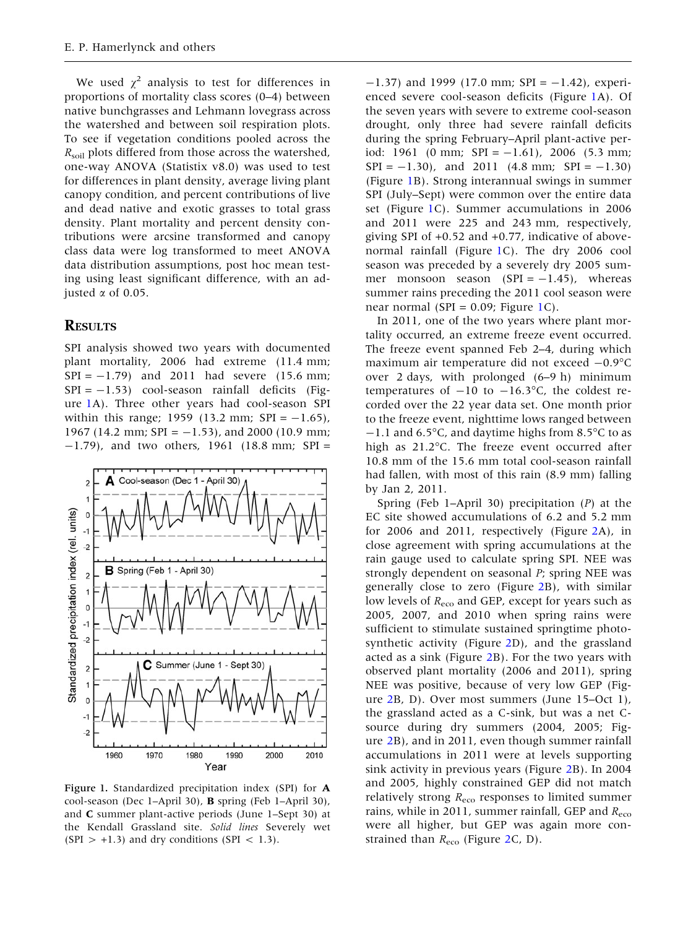<span id="page-5-0"></span>We used  $\chi^2$  analysis to test for differences in proportions of mortality class scores (0–4) between native bunchgrasses and Lehmann lovegrass across the watershed and between soil respiration plots. To see if vegetation conditions pooled across the  $R_{\text{soil}}$  plots differed from those across the watershed, one-way ANOVA (Statistix v8.0) was used to test for differences in plant density, average living plant canopy condition, and percent contributions of live and dead native and exotic grasses to total grass density. Plant mortality and percent density contributions were arcsine transformed and canopy class data were log transformed to meet ANOVA data distribution assumptions, post hoc mean testing using least significant difference, with an adjusted  $\alpha$  of 0.05.

### **RESULTS**

SPI analysis showed two years with documented plant mortality, 2006 had extreme (11.4 mm;  $SPI = -1.79$ ) and 2011 had severe (15.6 mm;  $SPI = -1.53$ ) cool-season rainfall deficits (Figure 1A). Three other years had cool-season SPI within this range; 1959 (13.2 mm;  $SPI = -1.65$ ), 1967 (14.2 mm; SPI =  $-1.53$ ), and 2000 (10.9 mm;  $-1.79$ ), and two others, 1961 (18.8 mm; SPI =



Figure 1. Standardized precipitation index (SPI) for A cool-season (Dec 1–April 30), B spring (Feb 1–April 30), and C summer plant-active periods (June 1–Sept 30) at the Kendall Grassland site. Solid lines Severely wet  $(SPI > +1.3)$  and dry conditions  $(SPI < 1.3)$ .

 $-1.37$ ) and 1999 (17.0 mm; SPI =  $-1.42$ ), experienced severe cool-season deficits (Figure 1A). Of the seven years with severe to extreme cool-season drought, only three had severe rainfall deficits during the spring February–April plant-active period: 1961 (0 mm; SPI =  $-1.61$ ), 2006 (5.3 mm;  $SPI = -1.30$ , and 2011 (4.8 mm;  $SPI = -1.30$ ) (Figure 1B). Strong interannual swings in summer SPI (July–Sept) were common over the entire data set (Figure 1C). Summer accumulations in 2006 and 2011 were 225 and 243 mm, respectively, giving SPI of +0.52 and +0.77, indicative of abovenormal rainfall (Figure 1C). The dry 2006 cool season was preceded by a severely dry 2005 summer monsoon season  $(SPI = -1.45)$ , whereas summer rains preceding the 2011 cool season were near normal (SPI =  $0.09$ ; Figure 1C).

In 2011, one of the two years where plant mortality occurred, an extreme freeze event occurred. The freeze event spanned Feb 2–4, during which maximum air temperature did not exceed  $-0.9^{\circ}$ C over 2 days, with prolonged (6–9 h) minimum temperatures of  $-10$  to  $-16.3$ °C, the coldest recorded over the 22 year data set. One month prior to the freeze event, nighttime lows ranged between  $-1.1$  and 6.5°C, and daytime highs from 8.5°C to as high as  $21.2^{\circ}$ C. The freeze event occurred after 10.8 mm of the 15.6 mm total cool-season rainfall had fallen, with most of this rain (8.9 mm) falling by Jan 2, 2011.

Spring (Feb 1–April 30) precipitation (P) at the EC site showed accumulations of 6.2 and 5.2 mm for 2006 and 2011, respectively (Figure [2](#page-6-0)A), in close agreement with spring accumulations at the rain gauge used to calculate spring SPI. NEE was strongly dependent on seasonal P; spring NEE was generally close to zero (Figure [2B](#page-6-0)), with similar low levels of  $R_{\text{eco}}$  and GEP, except for years such as 2005, 2007, and 2010 when spring rains were sufficient to stimulate sustained springtime photosynthetic activity (Figure [2D](#page-6-0)), and the grassland acted as a sink (Figure [2B](#page-6-0)). For the two years with observed plant mortality (2006 and 2011), spring NEE was positive, because of very low GEP (Figure [2B](#page-6-0), D). Over most summers (June 15–Oct 1), the grassland acted as a C-sink, but was a net Csource during dry summers (2004, 2005; Figure [2B](#page-6-0)), and in 2011, even though summer rainfall accumulations in 2011 were at levels supporting sink activity in previous years (Figure [2](#page-6-0)B). In 2004 and 2005, highly constrained GEP did not match relatively strong  $R_{\text{eco}}$  responses to limited summer rains, while in 2011, summer rainfall, GEP and  $R_{\text{eco}}$ were all higher, but GEP was again more constrained than  $R_{\text{eco}}$  (Figure [2](#page-6-0)C, D).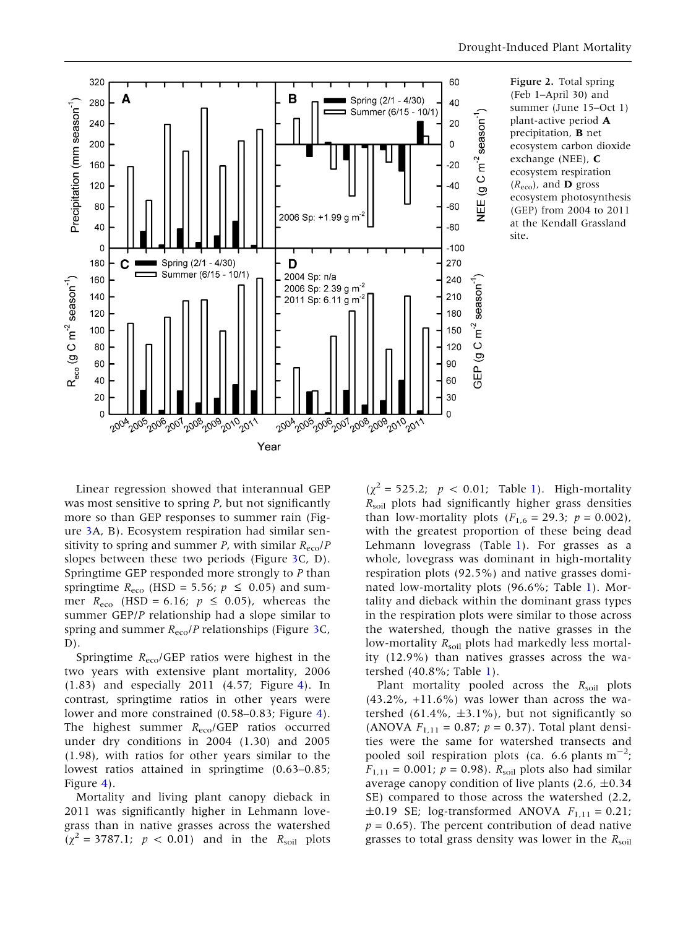<span id="page-6-0"></span>

Figure 2. Total spring (Feb 1–April 30) and summer (June 15–Oct 1) plant-active period A precipitation, B net ecosystem carbon dioxide exchange (NEE), C ecosystem respiration  $(R_{\text{eco}})$ , and **D** gross ecosystem photosynthesis (GEP) from 2004 to 2011 at the Kendall Grassland site.

Linear regression showed that interannual GEP was most sensitive to spring P, but not significantly more so than GEP responses to summer rain (Figure [3A](#page-7-0), B). Ecosystem respiration had similar sensitivity to spring and summer P, with similar  $R_{\text{eco}}/P$ slopes between these two periods (Figure [3](#page-7-0)C, D). Springtime GEP responded more strongly to P than springtime  $R_{\text{eco}}$  (HSD = 5.56;  $p \le 0.05$ ) and summer  $R_{\text{eco}}$  (HSD = 6.16;  $p \le 0.05$ ), whereas the summer GEP/P relationship had a slope similar to spring and summer  $R_{\text{eco}}$ /P relationships (Figure [3C](#page-7-0),  $D$ ).

Springtime  $R_{\text{eco}}$ /GEP ratios were highest in the two years with extensive plant mortality, 2006 (1.83) and especially 2011 (4.57; Figure [4](#page-7-0)). In contrast, springtime ratios in other years were lower and more constrained (0.58–0.83; Figure [4](#page-7-0)). The highest summer  $R_{\text{eco}}/GEP$  ratios occurred under dry conditions in 2004 (1.30) and 2005 (1.98), with ratios for other years similar to the lowest ratios attained in springtime (0.63–0.85; Figure [4](#page-7-0)).

Mortality and living plant canopy dieback in 2011 was significantly higher in Lehmann lovegrass than in native grasses across the watershed  $(\chi^2 = 3787.1; p < 0.01)$  and in the  $R_{\text{soil}}$  plots

 $(\chi^2 = 525.2; p < 0.01;$  $(\chi^2 = 525.2; p < 0.01;$  $(\chi^2 = 525.2; p < 0.01;$  Table 1). High-mortality  $R_{\text{soil}}$  plots had significantly higher grass densities than low-mortality plots ( $F_{1,6} = 29.3; p = 0.002$ ), with the greatest proportion of these being dead Lehmann lovegrass (Table [1](#page-4-0)). For grasses as a whole, lovegrass was dominant in high-mortality respiration plots (92.5%) and native grasses dominated low-mortality plots (96.6%; Table [1](#page-4-0)). Mortality and dieback within the dominant grass types in the respiration plots were similar to those across the watershed, though the native grasses in the low-mortality  $R_{\text{solid}}$  plots had markedly less mortality (12.9%) than natives grasses across the watershed (40.8%; Table [1\)](#page-4-0).

Plant mortality pooled across the  $R_{\text{solid}}$  plots  $(43.2\%$ ,  $+11.6\%)$  was lower than across the watershed  $(61.4\% , \pm 3.1\%)$ , but not significantly so (ANOVA  $F_{1,11} = 0.87; p = 0.37$ ). Total plant densities were the same for watershed transects and pooled soil respiration plots (ca. 6.6 plants  $m^{-2}$ ;  $F_{1,11} = 0.001$ ;  $p = 0.98$ ).  $R_{\text{solid}}$  plots also had similar average canopy condition of live plants  $(2.6, \pm 0.34)$ SE) compared to those across the watershed (2.2,  $\pm 0.19$  SE; log-transformed ANOVA  $F_{1,11} = 0.21$ ;  $p = 0.65$ ). The percent contribution of dead native grasses to total grass density was lower in the  $R_{\text{solid}}$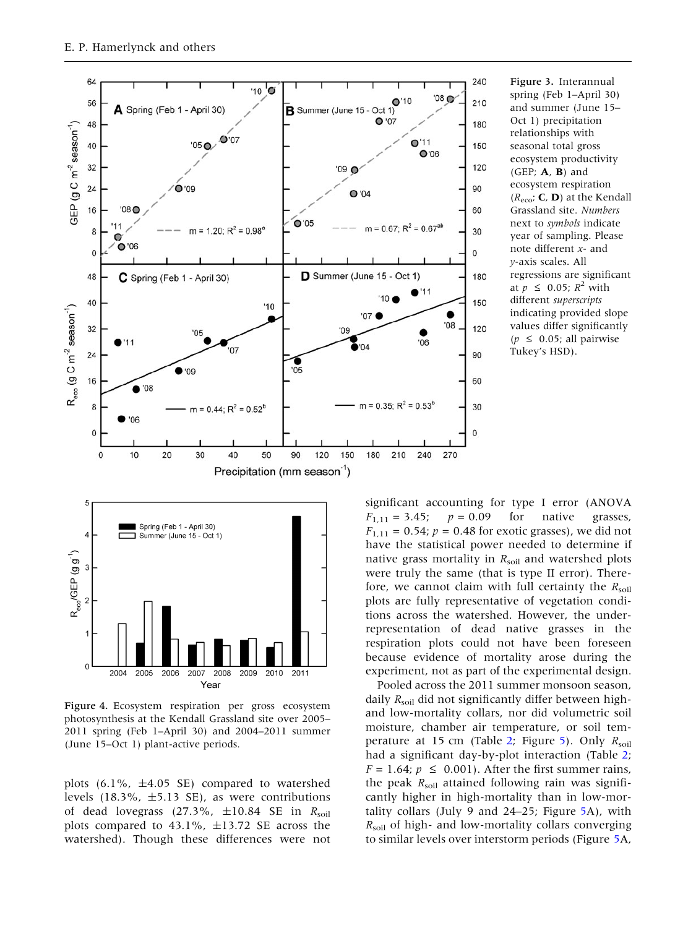<span id="page-7-0"></span>

Figure 3. Interannual spring (Feb 1–April 30) and summer (June 15– Oct 1) precipitation relationships with seasonal total gross ecosystem productivity (GEP;  $A$ ,  $B$ ) and ecosystem respiration  $(R_{\text{eco}}; \mathbf{C}, \mathbf{D})$  at the Kendall Grassland site. Numbers next to symbols indicate year of sampling. Please note different x- and y-axis scales. All regressions are significant at  $p \leq 0.05$ ;  $R^2$  with different superscripts indicating provided slope values differ significantly  $(p \leq 0.05$ ; all pairwise Tukey's HSD).



Figure 4. Ecosystem respiration per gross ecosystem photosynthesis at the Kendall Grassland site over 2005– 2011 spring (Feb 1–April 30) and 2004–2011 summer (June 15–Oct 1) plant-active periods.

plots  $(6.1\% , \pm 4.05 \text{ SE})$  compared to watershed levels  $(18.3\%, \pm 5.13 \text{ SE})$ , as were contributions of dead lovegrass (27.3%,  $\pm 10.84$  SE in  $R_{\text{solid}}$ plots compared to 43.1%,  $\pm$ 13.72 SE across the watershed). Though these differences were not

significant accounting for type I error (ANOVA  $F_{1,11} = 3.45; \quad p = 0.09 \quad \text{for} \quad \text{native} \quad \text{grasses},$  $F_{1,11} = 0.54; p = 0.48$  for exotic grasses), we did not have the statistical power needed to determine if native grass mortality in  $R_{\text{solid}}$  and watershed plots were truly the same (that is type II error). Therefore, we cannot claim with full certainty the  $R_{\text{sol}}$ plots are fully representative of vegetation conditions across the watershed. However, the underrepresentation of dead native grasses in the respiration plots could not have been foreseen because evidence of mortality arose during the experiment, not as part of the experimental design.

Pooled across the 2011 summer monsoon season, daily  $R_{\text{solid}}$  did not significantly differ between highand low-mortality collars, nor did volumetric soil moisture, chamber air temperature, or soil tem-perature at 15 cm (Table [2;](#page-8-0) Figure [5\)](#page-9-0). Only  $R_{\text{solid}}$ had a significant day-by-plot interaction (Table [2](#page-8-0);  $F = 1.64$ ;  $p \le 0.001$ ). After the first summer rains, the peak  $R_{\text{soil}}$  attained following rain was significantly higher in high-mortality than in low-mortality collars (July 9 and 24–25; Figure [5A](#page-9-0)), with  $R_{\text{soil}}$  of high- and low-mortality collars converging to similar levels over interstorm periods (Figure [5](#page-9-0)A,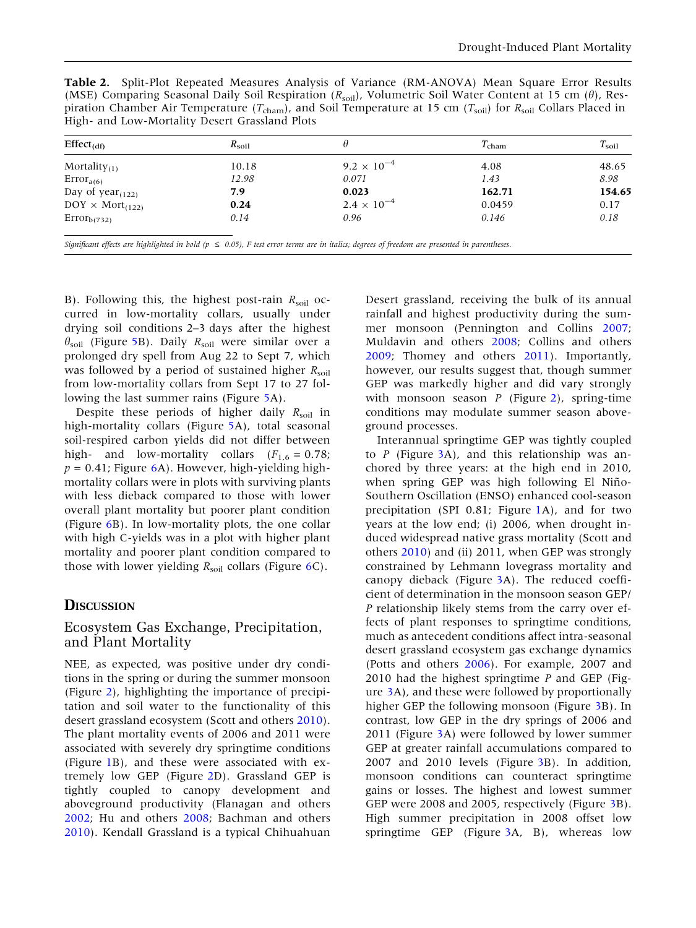<span id="page-8-0"></span>Table 2. Split-Plot Repeated Measures Analysis of Variance (RM-ANOVA) Mean Square Error Results (MSE) Comparing Seasonal Daily Soil Respiration ( $R_{\text{soil}}$ ), Volumetric Soil Water Content at 15 cm ( $\theta$ ), Respiration Chamber Air Temperature ( $T_{\text{cham}}$ ), and Soil Temperature at 15 cm ( $T_{\text{soil}}$ ) for  $R_{\text{soil}}$  Collars Placed in High- and Low-Mortality Desert Grassland Plots

| $Effect_{(df)}$           | $R_{\rm soil}$ |                      | $T_{\text{cham}}$ | $T_{\rm soil}$ |
|---------------------------|----------------|----------------------|-------------------|----------------|
| Mortality $_{(1)}$        | 10.18          | $9.2 \times 10^{-4}$ | 4.08              | 48.65          |
| $Error_{a(6)}$            | 12.98          | 0.071                | 1.43              | 8.98           |
| Day of $year_{(122)}$     | 7.9            | 0.023                | 162.71            | 154.65         |
| $DOY \times Mort_{(122)}$ | 0.24           | $2.4 \times 10^{-4}$ | 0.0459            | 0.17           |
| $Error_{b(732)}$          | 0.14           | 0.96                 | 0.146             | 0.18           |
|                           |                |                      |                   |                |

Significant effects are highlighted in bold ( $p \le 0.05$ ), F test error terms are in italics; degrees of freedom are presented in parentheses.

B). Following this, the highest post-rain  $R_{\text{solid}}$  occurred in low-mortality collars, usually under drying soil conditions 2–3 days after the highest  $\theta_{\text{soil}}$  (Figure [5B](#page-9-0)). Daily  $R_{\text{soil}}$  were similar over a prolonged dry spell from Aug 22 to Sept 7, which was followed by a period of sustained higher  $R_{\text{sol}}$ from low-mortality collars from Sept 17 to 27 following the last summer rains (Figure [5](#page-9-0)A).

Despite these periods of higher daily  $R_{\text{soil}}$  in high-mortality collars (Figure [5](#page-9-0)A), total seasonal soil-respired carbon yields did not differ between high- and low-mortality collars  $(F_{1,6} = 0.78)$ ;  $p = 0.41$ ; Figure [6](#page-9-0)A). However, high-yielding highmortality collars were in plots with surviving plants with less dieback compared to those with lower overall plant mortality but poorer plant condition (Figure [6B](#page-9-0)). In low-mortality plots, the one collar with high C-yields was in a plot with higher plant mortality and poorer plant condition compared to those with lower yielding  $R_{\text{soil}}$  collars (Figure [6](#page-9-0)C).

#### **D**ISCUSSION

## Ecosystem Gas Exchange, Precipitation, and Plant Mortality

NEE, as expected, was positive under dry conditions in the spring or during the summer monsoon (Figure [2\)](#page-6-0), highlighting the importance of precipitation and soil water to the functionality of this desert grassland ecosystem (Scott and others [2010](#page-13-0)). The plant mortality events of 2006 and 2011 were associated with severely dry springtime conditions (Figure [1B](#page-5-0)), and these were associated with extremely low GEP (Figure [2](#page-6-0)D). Grassland GEP is tightly coupled to canopy development and aboveground productivity (Flanagan and others [2002;](#page-12-0) Hu and others [2008](#page-12-0); Bachman and others [2010\)](#page-12-0). Kendall Grassland is a typical Chihuahuan

Desert grassland, receiving the bulk of its annual rainfall and highest productivity during the summer monsoon (Pennington and Collins [2007](#page-13-0); Muldavin and others [2008](#page-13-0); Collins and others [2009;](#page-12-0) Thomey and others [2011](#page-13-0)). Importantly, however, our results suggest that, though summer GEP was markedly higher and did vary strongly with monsoon season  $P$  (Figure [2](#page-6-0)), spring-time conditions may modulate summer season aboveground processes.

Interannual springtime GEP was tightly coupled to  $P$  (Figure [3A](#page-7-0)), and this relationship was anchored by three years: at the high end in 2010, when spring GEP was high following El Niño-Southern Oscillation (ENSO) enhanced cool-season precipitation (SPI 0.81; Figure [1](#page-5-0)A), and for two years at the low end; (i) 2006, when drought induced widespread native grass mortality (Scott and others [2010](#page-13-0)) and (ii) 2011, when GEP was strongly constrained by Lehmann lovegrass mortality and canopy dieback (Figure [3](#page-7-0)A). The reduced coefficient of determination in the monsoon season GEP/ P relationship likely stems from the carry over effects of plant responses to springtime conditions, much as antecedent conditions affect intra-seasonal desert grassland ecosystem gas exchange dynamics (Potts and others [2006\)](#page-13-0). For example, 2007 and 2010 had the highest springtime  $P$  and GEP (Figure [3A](#page-7-0)), and these were followed by proportionally higher GEP the following monsoon (Figure [3](#page-7-0)B). In contrast, low GEP in the dry springs of 2006 and 2011 (Figure [3](#page-7-0)A) were followed by lower summer GEP at greater rainfall accumulations compared to 2007 and 2010 levels (Figure [3](#page-7-0)B). In addition, monsoon conditions can counteract springtime gains or losses. The highest and lowest summer GEP were 2008 and 2005, respectively (Figure [3B](#page-7-0)). High summer precipitation in 2008 offset low springtime GEP (Figure [3](#page-7-0)A, B), whereas low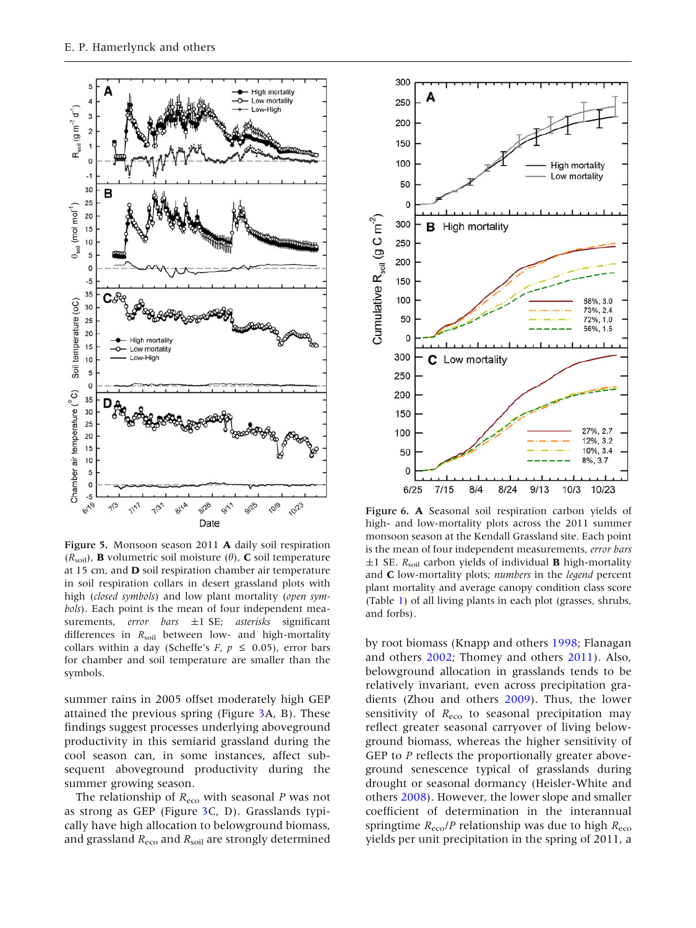<span id="page-9-0"></span>

Figure 5. Monsoon season 2011 A daily soil respiration  $(R_{\text{soil}})$ , **B** volumetric soil moisture  $(\theta)$ , **C** soil temperature at 15 cm, and D soil respiration chamber air temperature in soil respiration collars in desert grassland plots with high (closed symbols) and low plant mortality (open symbols). Each point is the mean of four independent measurements, error bars  $\pm 1$  SE; asterisks significant differences in  $R_{\text{soil}}$  between low- and high-mortality collars within a day (Scheffe's F,  $p \le 0.05$ ), error bars for chamber and soil temperature are smaller than the symbols.

summer rains in 2005 offset moderately high GEP attained the previous spring (Figure [3](#page-7-0)A, B). These findings suggest processes underlying aboveground productivity in this semiarid grassland during the cool season can, in some instances, affect subsequent aboveground productivity during the summer growing season.

The relationship of  $R_{\text{eco}}$  with seasonal P was not as strong as GEP (Figure [3C](#page-7-0), D). Grasslands typically have high allocation to belowground biomass, and grassland  $R_{\text{eco}}$  and  $R_{\text{soil}}$  are strongly determined



Figure 6. A Seasonal soil respiration carbon yields of high- and low-mortality plots across the 2011 summer monsoon season at the Kendall Grassland site. Each point is the mean of four independent measurements, error bars  $\pm 1$  SE.  $R_{\text{solid}}$  carbon yields of individual **B** high-mortality and  $C$  low-mortality plots; numbers in the legend percent plant mortality and average canopy condition class score (Table [1\)](#page-4-0) of all living plants in each plot (grasses, shrubs, and forbs).

by root biomass (Knapp and others [1998;](#page-12-0) Flanagan and others [2002;](#page-12-0) Thomey and others [2011](#page-13-0)). Also, belowground allocation in grasslands tends to be relatively invariant, even across precipitation gradients (Zhou and others [2009\)](#page-13-0). Thus, the lower sensitivity of  $R_{\text{eco}}$  to seasonal precipitation may reflect greater seasonal carryover of living belowground biomass, whereas the higher sensitivity of GEP to P reflects the proportionally greater aboveground senescence typical of grasslands during drought or seasonal dormancy (Heisler-White and others [2008](#page-12-0)). However, the lower slope and smaller coefficient of determination in the interannual springtime  $R_{\text{eco}}/P$  relationship was due to high  $R_{\text{eco}}$ yields per unit precipitation in the spring of 2011, a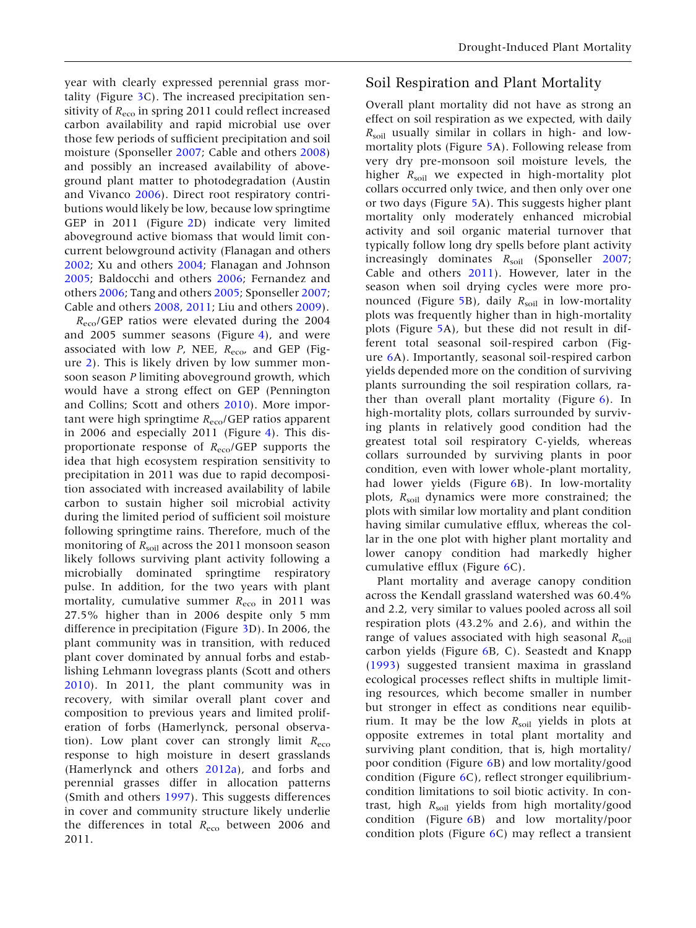year with clearly expressed perennial grass mortality (Figure [3C](#page-7-0)). The increased precipitation sensitivity of  $R_{\text{eco}}$  in spring 2011 could reflect increased carbon availability and rapid microbial use over those few periods of sufficient precipitation and soil moisture (Sponseller [2007](#page-13-0); Cable and others [2008](#page-12-0)) and possibly an increased availability of aboveground plant matter to photodegradation (Austin and Vivanco [2006](#page-12-0)). Direct root respiratory contributions would likely be low, because low springtime GEP in 2011 (Figure [2](#page-6-0)D) indicate very limited aboveground active biomass that would limit concurrent belowground activity (Flanagan and others [2002;](#page-12-0) Xu and others [2004](#page-13-0); Flanagan and Johnson [2005;](#page-12-0) Baldocchi and others [2006](#page-12-0); Fernandez and others [2006](#page-12-0); Tang and others [2005;](#page-13-0) Sponseller [2007](#page-13-0); Cable and others [2008,](#page-12-0) [2011;](#page-12-0) Liu and others [2009](#page-12-0)).

 $R_{\text{eco}}$ /GEP ratios were elevated during the 2004 and 2005 summer seasons (Figure [4\)](#page-7-0), and were associated with low  $P$ , NEE,  $R_{\text{eco}}$ , and GEP (Figure [2\)](#page-6-0). This is likely driven by low summer monsoon season P limiting aboveground growth, which would have a strong effect on GEP (Pennington and Collins; Scott and others [2010](#page-13-0)). More important were high springtime  $R_{\text{eco}}$ /GEP ratios apparent in 2006 and especially 2011 (Figure [4\)](#page-7-0). This disproportionate response of  $R_{\text{eco}}/GEP$  supports the idea that high ecosystem respiration sensitivity to precipitation in 2011 was due to rapid decomposition associated with increased availability of labile carbon to sustain higher soil microbial activity during the limited period of sufficient soil moisture following springtime rains. Therefore, much of the monitoring of  $R_{\text{solid}}$  across the 2011 monsoon season likely follows surviving plant activity following a microbially dominated springtime respiratory pulse. In addition, for the two years with plant mortality, cumulative summer  $R_{\text{eco}}$  in 2011 was 27.5% higher than in 2006 despite only 5 mm difference in precipitation (Figure [3](#page-7-0)D). In 2006, the plant community was in transition, with reduced plant cover dominated by annual forbs and establishing Lehmann lovegrass plants (Scott and others [2010\)](#page-13-0). In 2011, the plant community was in recovery, with similar overall plant cover and composition to previous years and limited proliferation of forbs (Hamerlynck, personal observation). Low plant cover can strongly limit  $R_{\text{eco}}$ response to high moisture in desert grasslands (Hamerlynck and others [2012a](#page-12-0)), and forbs and perennial grasses differ in allocation patterns (Smith and others [1997](#page-13-0)). This suggests differences in cover and community structure likely underlie the differences in total  $R_{\text{eco}}$  between 2006 and 2011.

## Soil Respiration and Plant Mortality

Overall plant mortality did not have as strong an effect on soil respiration as we expected, with daily  $R_{\text{soil}}$  usually similar in collars in high- and lowmortality plots (Figure [5A](#page-9-0)). Following release from very dry pre-monsoon soil moisture levels, the higher  $R_{\text{solid}}$  we expected in high-mortality plot collars occurred only twice, and then only over one or two days (Figure [5A](#page-9-0)). This suggests higher plant mortality only moderately enhanced microbial activity and soil organic material turnover that typically follow long dry spells before plant activity increasingly dominates  $R_{\text{soil}}$  (Sponseller [2007](#page-13-0); Cable and others [2011\)](#page-12-0). However, later in the season when soil drying cycles were more pro-nounced (Figure [5B](#page-9-0)), daily  $R_{\text{soil}}$  in low-mortality plots was frequently higher than in high-mortality plots (Figure [5](#page-9-0)A), but these did not result in different total seasonal soil-respired carbon (Figure [6A](#page-9-0)). Importantly, seasonal soil-respired carbon yields depended more on the condition of surviving plants surrounding the soil respiration collars, rather than overall plant mortality (Figure [6\)](#page-9-0). In high-mortality plots, collars surrounded by surviving plants in relatively good condition had the greatest total soil respiratory C-yields, whereas collars surrounded by surviving plants in poor condition, even with lower whole-plant mortality, had lower yields (Figure [6](#page-9-0)B). In low-mortality plots,  $R_{\text{soil}}$  dynamics were more constrained; the plots with similar low mortality and plant condition having similar cumulative efflux, whereas the collar in the one plot with higher plant mortality and lower canopy condition had markedly higher cumulative efflux (Figure [6](#page-9-0)C).

Plant mortality and average canopy condition across the Kendall grassland watershed was 60.4% and 2.2, very similar to values pooled across all soil respiration plots (43.2% and 2.6), and within the range of values associated with high seasonal  $R_{\text{solid}}$ carbon yields (Figure [6](#page-9-0)B, C). Seastedt and Knapp ([1993\)](#page-13-0) suggested transient maxima in grassland ecological processes reflect shifts in multiple limiting resources, which become smaller in number but stronger in effect as conditions near equilibrium. It may be the low  $R_{\text{solid}}$  yields in plots at opposite extremes in total plant mortality and surviving plant condition, that is, high mortality/ poor condition (Figure [6](#page-9-0)B) and low mortality/good condition (Figure [6C](#page-9-0)), reflect stronger equilibriumcondition limitations to soil biotic activity. In contrast, high  $R_{\text{solid}}$  yields from high mortality/good condition (Figure [6B](#page-9-0)) and low mortality/poor condition plots (Figure [6](#page-9-0)C) may reflect a transient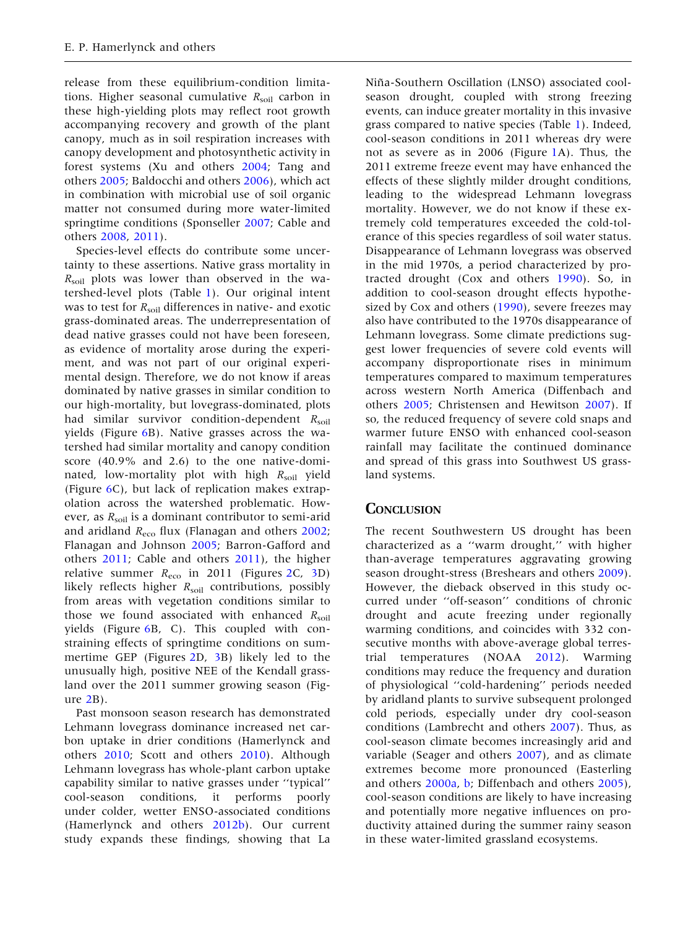release from these equilibrium-condition limitations. Higher seasonal cumulative  $R_{\text{solid}}$  carbon in these high-yielding plots may reflect root growth accompanying recovery and growth of the plant canopy, much as in soil respiration increases with canopy development and photosynthetic activity in forest systems (Xu and others [2004](#page-13-0); Tang and others [2005](#page-13-0); Baldocchi and others [2006\)](#page-12-0), which act in combination with microbial use of soil organic matter not consumed during more water-limited springtime conditions (Sponseller [2007;](#page-13-0) Cable and others [2008,](#page-12-0) [2011](#page-12-0)).

Species-level effects do contribute some uncertainty to these assertions. Native grass mortality in  $R_{\text{soil}}$  plots was lower than observed in the watershed-level plots (Table [1\)](#page-4-0). Our original intent was to test for  $R_{\text{solid}}$  differences in native- and exotic grass-dominated areas. The underrepresentation of dead native grasses could not have been foreseen, as evidence of mortality arose during the experiment, and was not part of our original experimental design. Therefore, we do not know if areas dominated by native grasses in similar condition to our high-mortality, but lovegrass-dominated, plots had similar survivor condition-dependent  $R_{\text{solid}}$ yields (Figure [6](#page-9-0)B). Native grasses across the watershed had similar mortality and canopy condition score (40.9% and 2.6) to the one native-dominated, low-mortality plot with high  $R_{\text{solid}}$  yield (Figure [6C](#page-9-0)), but lack of replication makes extrapolation across the watershed problematic. However, as  $R_{\text{solid}}$  is a dominant contributor to semi-arid and aridland  $R_{\text{eco}}$  flux (Flanagan and others [2002](#page-12-0); Flanagan and Johnson [2005](#page-12-0); Barron-Gafford and others [2011](#page-12-0); Cable and others [2011](#page-12-0)), the higher relative summer  $R_{\text{eco}}$  in 2011 (Figures [2C](#page-6-0), [3](#page-7-0)D) likely reflects higher  $R_{\text{solid}}$  contributions, possibly from areas with vegetation conditions similar to those we found associated with enhanced  $R_{\text{solid}}$ yields (Figure [6B](#page-9-0), C). This coupled with constraining effects of springtime conditions on summertime GEP (Figures [2](#page-6-0)D, [3](#page-7-0)B) likely led to the unusually high, positive NEE of the Kendall grassland over the 2011 summer growing season (Fig- $ure 2B)$  $ure 2B)$  $ure 2B)$ .

Past monsoon season research has demonstrated Lehmann lovegrass dominance increased net carbon uptake in drier conditions (Hamerlynck and others [2010;](#page-12-0) Scott and others [2010\)](#page-13-0). Although Lehmann lovegrass has whole-plant carbon uptake capability similar to native grasses under ''typical'' cool-season conditions, it performs poorly under colder, wetter ENSO-associated conditions (Hamerlynck and others [2012b\)](#page-12-0). Our current study expands these findings, showing that La

Niña-Southern Oscillation (LNSO) associated coolseason drought, coupled with strong freezing events, can induce greater mortality in this invasive grass compared to native species (Table [1](#page-4-0)). Indeed, cool-season conditions in 2011 whereas dry were not as severe as in 2006 (Figure [1A](#page-5-0)). Thus, the 2011 extreme freeze event may have enhanced the effects of these slightly milder drought conditions, leading to the widespread Lehmann lovegrass mortality. However, we do not know if these extremely cold temperatures exceeded the cold-tolerance of this species regardless of soil water status. Disappearance of Lehmann lovegrass was observed in the mid 1970s, a period characterized by protracted drought (Cox and others [1990](#page-12-0)). So, in addition to cool-season drought effects hypothe-sized by Cox and others [\(1990](#page-12-0)), severe freezes may also have contributed to the 1970s disappearance of Lehmann lovegrass. Some climate predictions suggest lower frequencies of severe cold events will accompany disproportionate rises in minimum temperatures compared to maximum temperatures across western North America (Diffenbach and others [2005](#page-12-0); Christensen and Hewitson [2007](#page-12-0)). If so, the reduced frequency of severe cold snaps and warmer future ENSO with enhanced cool-season rainfall may facilitate the continued dominance and spread of this grass into Southwest US grassland systems.

## **CONCLUSION**

The recent Southwestern US drought has been characterized as a ''warm drought,'' with higher than-average temperatures aggravating growing season drought-stress (Breshears and others [2009](#page-12-0)). However, the dieback observed in this study occurred under ''off-season'' conditions of chronic drought and acute freezing under regionally warming conditions, and coincides with 332 consecutive months with above-average global terrestrial temperatures (NOAA [2012\)](#page-13-0). Warming conditions may reduce the frequency and duration of physiological ''cold-hardening'' periods needed by aridland plants to survive subsequent prolonged cold periods, especially under dry cool-season conditions (Lambrecht and others [2007](#page-12-0)). Thus, as cool-season climate becomes increasingly arid and variable (Seager and others [2007\)](#page-13-0), and as climate extremes become more pronounced (Easterling and others [2000a,](#page-12-0) [b;](#page-12-0) Diffenbach and others [2005](#page-12-0)), cool-season conditions are likely to have increasing and potentially more negative influences on productivity attained during the summer rainy season in these water-limited grassland ecosystems.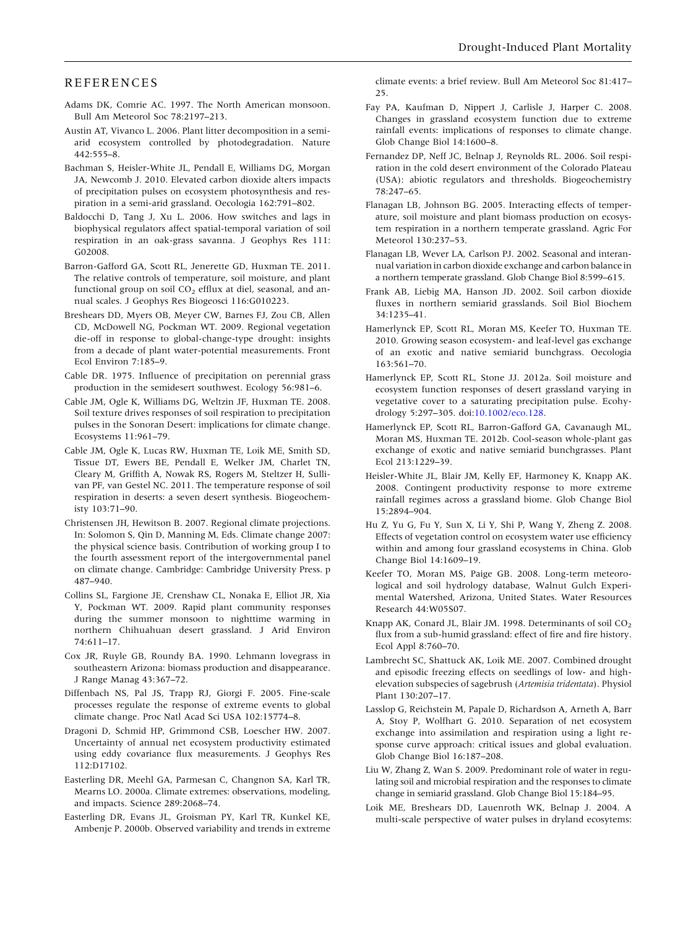#### <span id="page-12-0"></span>REFERENCES

- Adams DK, Comrie AC. 1997. The North American monsoon. Bull Am Meteorol Soc 78:2197–213.
- Austin AT, Vivanco L. 2006. Plant litter decomposition in a semiarid ecosystem controlled by photodegradation. Nature 442:555–8.
- Bachman S, Heisler-White JL, Pendall E, Williams DG, Morgan JA, Newcomb J. 2010. Elevated carbon dioxide alters impacts of precipitation pulses on ecosystem photosynthesis and respiration in a semi-arid grassland. Oecologia 162:791–802.
- Baldocchi D, Tang J, Xu L. 2006. How switches and lags in biophysical regulators affect spatial-temporal variation of soil respiration in an oak-grass savanna. J Geophys Res 111: G02008.
- Barron-Gafford GA, Scott RL, Jenerette GD, Huxman TE. 2011. The relative controls of temperature, soil moisture, and plant functional group on soil  $CO<sub>2</sub>$  efflux at diel, seasonal, and annual scales. J Geophys Res Biogeosci 116:G010223.
- Breshears DD, Myers OB, Meyer CW, Barnes FJ, Zou CB, Allen CD, McDowell NG, Pockman WT. 2009. Regional vegetation die-off in response to global-change-type drought: insights from a decade of plant water-potential measurements. Front Ecol Environ 7:185–9.
- Cable DR. 1975. Influence of precipitation on perennial grass production in the semidesert southwest. Ecology 56:981–6.
- Cable JM, Ogle K, Williams DG, Weltzin JF, Huxman TE. 2008. Soil texture drives responses of soil respiration to precipitation pulses in the Sonoran Desert: implications for climate change. Ecosystems 11:961–79.
- Cable JM, Ogle K, Lucas RW, Huxman TE, Loik ME, Smith SD, Tissue DT, Ewers BE, Pendall E, Welker JM, Charlet TN, Cleary M, Griffith A, Nowak RS, Rogers M, Steltzer H, Sullivan PF, van Gestel NC. 2011. The temperature response of soil respiration in deserts: a seven desert synthesis. Biogeochemisty 103:71–90.
- Christensen JH, Hewitson B. 2007. Regional climate projections. In: Solomon S, Qin D, Manning M, Eds. Climate change 2007: the physical science basis. Contribution of working group I to the fourth assessment report of the intergovernmental panel on climate change. Cambridge: Cambridge University Press. p 487–940.
- Collins SL, Fargione JE, Crenshaw CL, Nonaka E, Elliot JR, Xia Y, Pockman WT. 2009. Rapid plant community responses during the summer monsoon to nighttime warming in northern Chihuahuan desert grassland. J Arid Environ 74:611–17.
- Cox JR, Ruyle GB, Roundy BA. 1990. Lehmann lovegrass in southeastern Arizona: biomass production and disappearance. J Range Manag 43:367–72.
- Diffenbach NS, Pal JS, Trapp RJ, Giorgi F. 2005. Fine-scale processes regulate the response of extreme events to global climate change. Proc Natl Acad Sci USA 102:15774–8.
- Dragoni D, Schmid HP, Grimmond CSB, Loescher HW. 2007. Uncertainty of annual net ecosystem productivity estimated using eddy covariance flux measurements. J Geophys Res 112:D17102.
- Easterling DR, Meehl GA, Parmesan C, Changnon SA, Karl TR, Mearns LO. 2000a. Climate extremes: observations, modeling, and impacts. Science 289:2068–74.
- Easterling DR, Evans JL, Groisman PY, Karl TR, Kunkel KE, Ambenje P. 2000b. Observed variability and trends in extreme

climate events: a brief review. Bull Am Meteorol Soc 81:417– 25.

- Fay PA, Kaufman D, Nippert J, Carlisle J, Harper C. 2008. Changes in grassland ecosystem function due to extreme rainfall events: implications of responses to climate change. Glob Change Biol 14:1600–8.
- Fernandez DP, Neff JC, Belnap J, Reynolds RL. 2006. Soil respiration in the cold desert environment of the Colorado Plateau (USA): abiotic regulators and thresholds. Biogeochemistry 78:247–65.
- Flanagan LB, Johnson BG. 2005. Interacting effects of temperature, soil moisture and plant biomass production on ecosystem respiration in a northern temperate grassland. Agric For Meteorol 130:237–53.
- Flanagan LB, Wever LA, Carlson PJ. 2002. Seasonal and interannual variation in carbon dioxide exchange and carbon balance in a northern temperate grassland. Glob Change Biol 8:599–615.
- Frank AB, Liebig MA, Hanson JD. 2002. Soil carbon dioxide fluxes in northern semiarid grasslands. Soil Biol Biochem 34:1235–41.
- Hamerlynck EP, Scott RL, Moran MS, Keefer TO, Huxman TE. 2010. Growing season ecosystem- and leaf-level gas exchange of an exotic and native semiarid bunchgrass. Oecologia 163:561–70.
- Hamerlynck EP, Scott RL, Stone JJ. 2012a. Soil moisture and ecosystem function responses of desert grassland varying in vegetative cover to a saturating precipitation pulse. Ecohydrology 5:297–305. doi:[10.1002/eco.128.](http://dx.doi.org/10.1002/eco.128)
- Hamerlynck EP, Scott RL, Barron-Gafford GA, Cavanaugh ML, Moran MS, Huxman TE. 2012b. Cool-season whole-plant gas exchange of exotic and native semiarid bunchgrasses. Plant Ecol 213:1229–39.
- Heisler-White JL, Blair JM, Kelly EF, Harmoney K, Knapp AK. 2008. Contingent productivity response to more extreme rainfall regimes across a grassland biome. Glob Change Biol 15:2894–904.
- Hu Z, Yu G, Fu Y, Sun X, Li Y, Shi P, Wang Y, Zheng Z. 2008. Effects of vegetation control on ecosystem water use efficiency within and among four grassland ecosystems in China. Glob Change Biol 14:1609–19.
- Keefer TO, Moran MS, Paige GB. 2008. Long-term meteorological and soil hydrology database, Walnut Gulch Experimental Watershed, Arizona, United States. Water Resources Research 44:W05S07.
- Knapp AK, Conard JL, Blair JM. 1998. Determinants of soil CO<sub>2</sub> flux from a sub-humid grassland: effect of fire and fire history. Ecol Appl 8:760–70.
- Lambrecht SC, Shattuck AK, Loik ME. 2007. Combined drought and episodic freezing effects on seedlings of low- and highelevation subspecies of sagebrush (Artemisia tridentata). Physiol Plant 130:207–17.
- Lasslop G, Reichstein M, Papale D, Richardson A, Arneth A, Barr A, Stoy P, Wolfhart G. 2010. Separation of net ecosystem exchange into assimilation and respiration using a light response curve approach: critical issues and global evaluation. Glob Change Biol 16:187–208.
- Liu W, Zhang Z, Wan S. 2009. Predominant role of water in regulating soil and microbial respiration and the responses to climate change in semiarid grassland. Glob Change Biol 15:184–95.
- Loik ME, Breshears DD, Lauenroth WK, Belnap J. 2004. A multi-scale perspective of water pulses in dryland ecosytems: